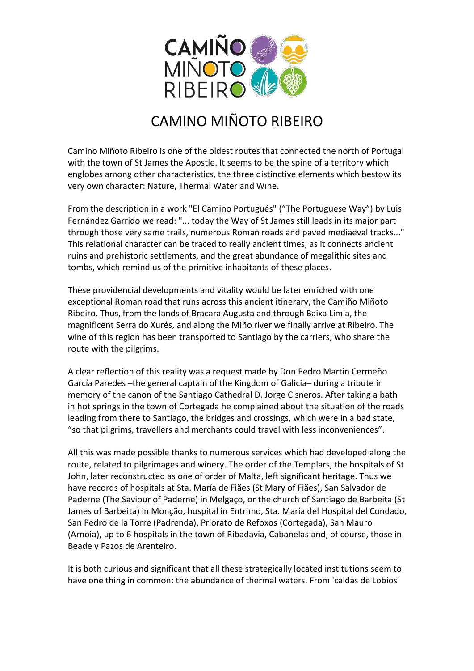

## CAMINO MIÑOTO RIBEIRO

Camino Miñoto Ribeiro is one of the oldest routes that connected the north of Portugal with the town of St James the Apostle. It seems to be the spine of a territory which englobes among other characteristics, the three distinctive elements which bestow its very own character: Nature, Thermal Water and Wine.

From the description in a work "El Camino Portugués" ("The Portuguese Way") by Luis Fernández Garrido we read: "... today the Way of St James still leads in its major part through those very same trails, numerous Roman roads and paved mediaeval tracks..." This relational character can be traced to really ancient times, as it connects ancient ruins and prehistoric settlements, and the great abundance of megalithic sites and tombs, which remind us of the primitive inhabitants of these places.

These providencial developments and vitality would be later enriched with one exceptional Roman road that runs across this ancient itinerary, the Camiño Miñoto Ribeiro. Thus, from the lands of Bracara Augusta and through Baixa Limia, the magnificent Serra do Xurés, and along the Miño river we finally arrive at Ribeiro. The wine of this region has been transported to Santiago by the carriers, who share the route with the pilgrims.

A clear reflection of this reality was a request made by Don Pedro Martin Cermeño García Paredes –the general captain of the Kingdom of Galicia– during a tribute in memory of the canon of the Santiago Cathedral D. Jorge Cisneros. After taking a bath in hot springs in the town of Cortegada he complained about the situation of the roads leading from there to Santiago, the bridges and crossings, which were in a bad state, "so that pilgrims, travellers and merchants could travel with less inconveniences".

All this was made possible thanks to numerous services which had developed along the route, related to pilgrimages and winery. The order of the Templars, the hospitals of St John, later reconstructed as one of order of Malta, left significant heritage. Thus we have records of hospitals at Sta. María de Fiães (St Mary of Fiães), San Salvador de Paderne (The Saviour of Paderne) in Melgaço, or the church of Santiago de Barbeita (St James of Barbeita) in Monção, hospital in Entrimo, Sta. María del Hospital del Condado, San Pedro de la Torre (Padrenda), Priorato de Refoxos (Cortegada), San Mauro (Arnoia), up to 6 hospitals in the town of Ribadavia, Cabanelas and, of course, those in Beade y Pazos de Arenteiro.

It is both curious and significant that all these strategically located institutions seem to have one thing in common: the abundance of thermal waters. From 'caldas de Lobios'